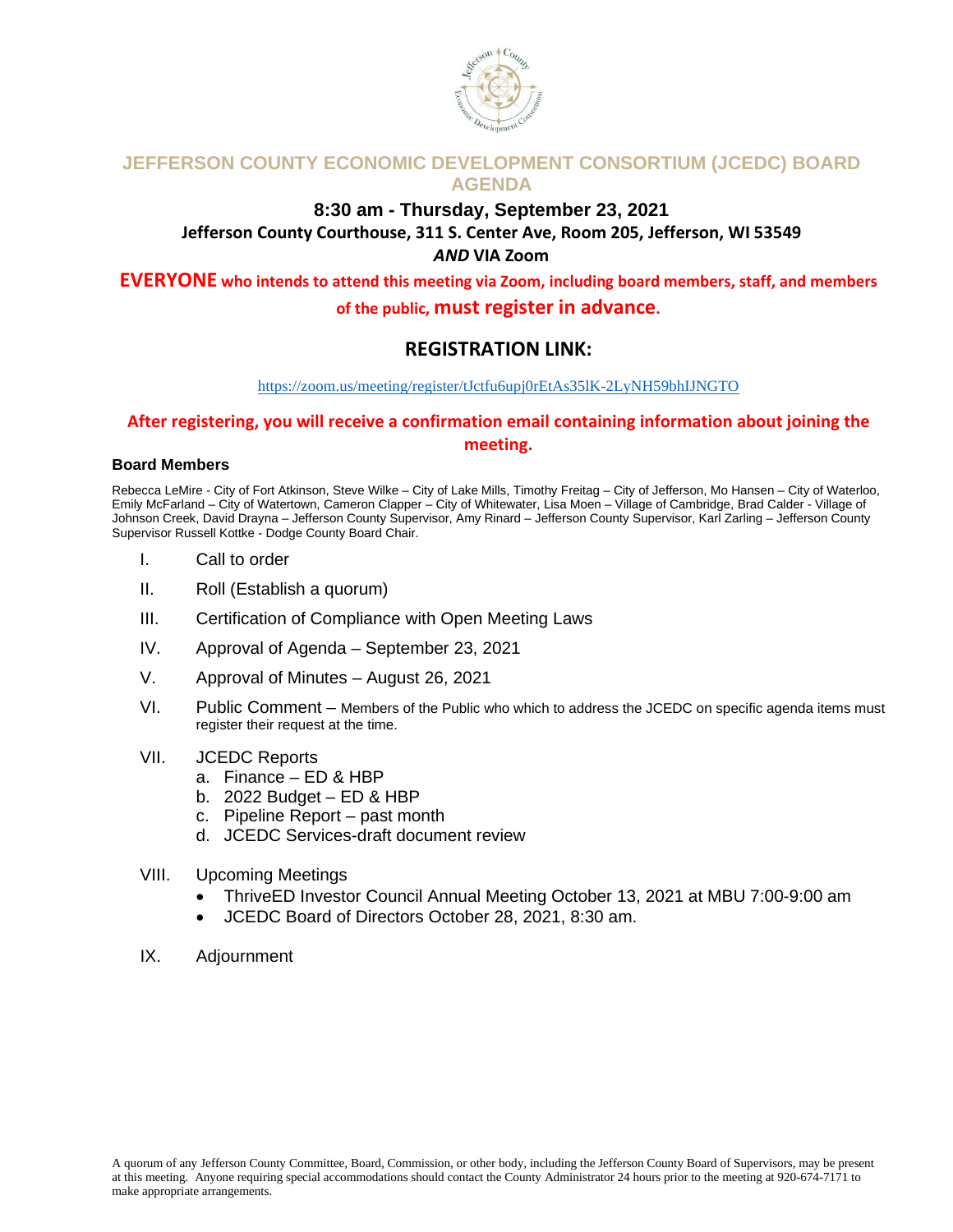

### **JEFFERSON COUNTY ECONOMIC DEVELOPMENT CONSORTIUM (JCEDC) BOARD AGENDA**

#### **8:30 am - Thursday, September 23, 2021 Jefferson County Courthouse, 311 S. Center Ave, Room 205, Jefferson, WI 53549** *AND* **VIA Zoom**

**EVERYONE who intends to attend this meeting via Zoom, including board members, staff, and members of the public, must register in advance.** 

## **REGISTRATION LINK:**

#### <https://zoom.us/meeting/register/tJctfu6upj0rEtAs35lK-2LyNH59bhIJNGTO>

### **After registering, you will receive a confirmation email containing information about joining the meeting.**

#### **Board Members**

Rebecca LeMire - City of Fort Atkinson, Steve Wilke – City of Lake Mills, Timothy Freitag – City of Jefferson, Mo Hansen – City of Waterloo, Emily McFarland – City of Watertown, Cameron Clapper – City of Whitewater, Lisa Moen – Village of Cambridge, Brad Calder - Village of Johnson Creek, David Drayna – Jefferson County Supervisor, Amy Rinard – Jefferson County Supervisor, Karl Zarling – Jefferson County Supervisor Russell Kottke - Dodge County Board Chair.

- I. Call to order
- II. Roll (Establish a quorum)
- III. Certification of Compliance with Open Meeting Laws
- IV. Approval of Agenda September 23, 2021
- V. Approval of Minutes August 26, 2021
- VI. Public Comment Members of the Public who which to address the JCEDC on specific agenda items must register their request at the time.

#### VII. JCEDC Reports

- a. Finance ED & HBP
- b. 2022 Budget ED & HBP
- c. Pipeline Report past month
- d. JCEDC Services-draft document review
- VIII. Upcoming Meetings
	- ThriveED Investor Council Annual Meeting October 13, 2021 at MBU 7:00-9:00 am
	- JCEDC Board of Directors October 28, 2021, 8:30 am.
- IX. Adjournment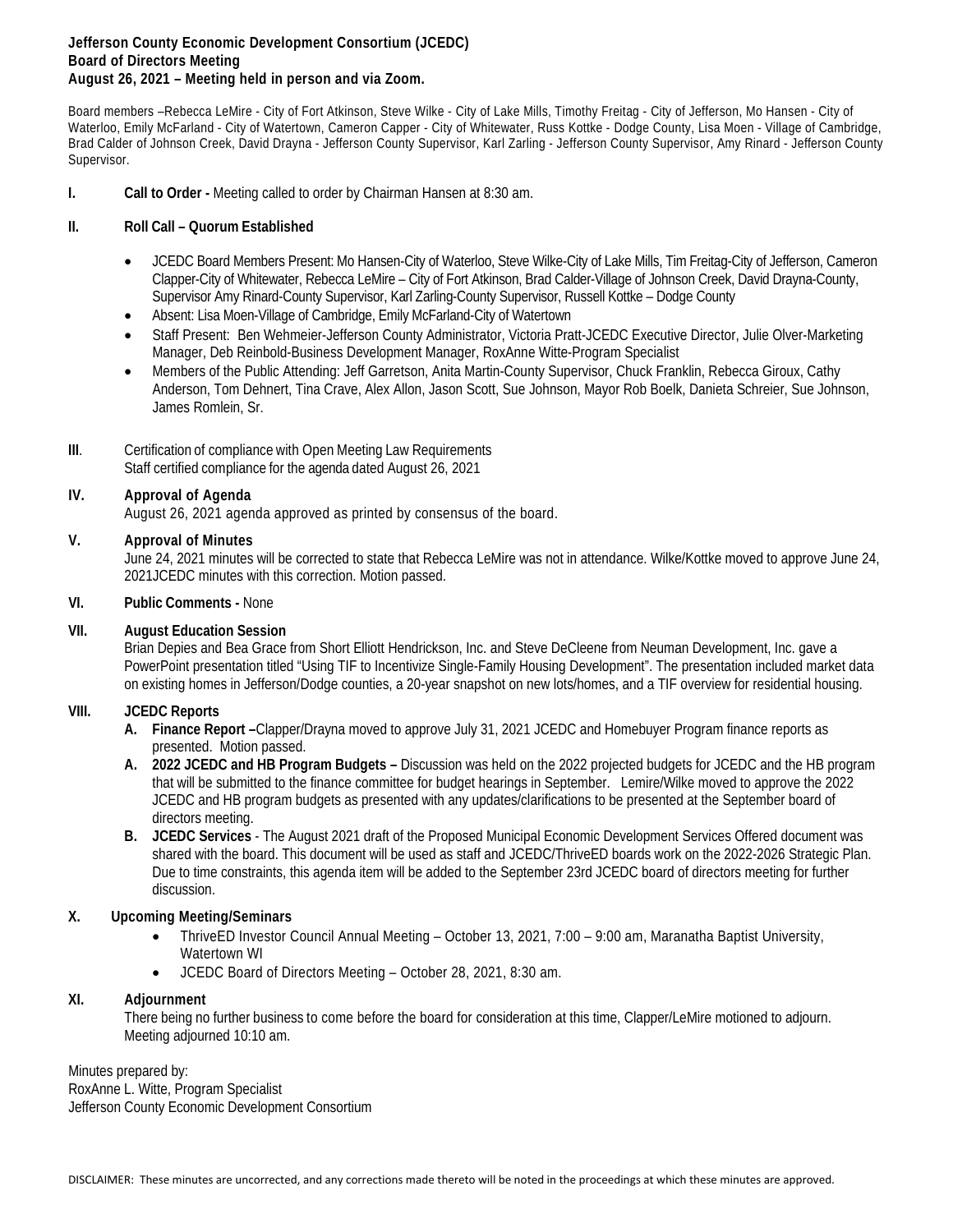#### **Jefferson County Economic Development Consortium (JCEDC) Board of Directors Meeting August 26, 2021 – Meeting held in person and via Zoom.**

Board members –Rebecca LeMire - City of Fort Atkinson, Steve Wilke - City of Lake Mills, Timothy Freitag - City of Jefferson, Mo Hansen - City of Waterloo, Emily McFarland - City of Watertown, Cameron Capper - City of Whitewater, Russ Kottke - Dodge County, Lisa Moen - Village of Cambridge, Brad Calder of Johnson Creek, David Drayna - Jefferson County Supervisor, Karl Zarling - Jefferson County Supervisor, Amy Rinard - Jefferson County Supervisor.

**I. Call to Order -** Meeting called to order by Chairman Hansen at 8:30 am.

#### **II. Roll Call – Quorum Established**

- JCEDC Board Members Present: Mo Hansen-City of Waterloo, Steve Wilke-City of Lake Mills, Tim Freitag-City of Jefferson, Cameron Clapper-City of Whitewater, Rebecca LeMire – City of Fort Atkinson, Brad Calder-Village of Johnson Creek, David Drayna-County, Supervisor Amy Rinard-County Supervisor, Karl Zarling-County Supervisor, Russell Kottke – Dodge County
- Absent: Lisa Moen-Village of Cambridge, Emily McFarland-City of Watertown
- Staff Present: Ben Wehmeier-Jefferson County Administrator, Victoria Pratt-JCEDC Executive Director, Julie Olver-Marketing Manager, Deb Reinbold-Business Development Manager, RoxAnne Witte-Program Specialist
- Members of the Public Attending: Jeff Garretson, Anita Martin-County Supervisor, Chuck Franklin, Rebecca Giroux, Cathy Anderson, Tom Dehnert, Tina Crave, Alex Allon, Jason Scott, Sue Johnson, Mayor Rob Boelk, Danieta Schreier, Sue Johnson, James Romlein, Sr.

#### **III.** Certification of compliance with Open Meeting Law Requirements Staff certified compliance for the agenda dated August 26, 2021

#### **IV. Approval of Agenda**

August 26, 2021 agenda approved as printed by consensus of the board.

#### **V. Approval of Minutes**

June 24, 2021 minutes will be corrected to state that Rebecca LeMire was not in attendance. Wilke/Kottke moved to approve June 24, 2021JCEDC minutes with this correction. Motion passed.

#### **VI. Public Comments -** None

#### **VII. August Education Session**

Brian Depies and Bea Grace from Short Elliott Hendrickson, Inc. and Steve DeCleene from Neuman Development, Inc. gave a PowerPoint presentation titled "Using TIF to Incentivize Single-Family Housing Development". The presentation included market data on existing homes in Jefferson/Dodge counties, a 20-year snapshot on new lots/homes, and a TIF overview for residential housing.

#### **VIII. JCEDC Reports**

- **A. Finance Report –**Clapper/Drayna moved to approve July 31, 2021 JCEDC and Homebuyer Program finance reports as presented. Motion passed.
- **A. 2022 JCEDC and HB Program Budgets –** Discussion was held on the 2022 projected budgets for JCEDC and the HB program that will be submitted to the finance committee for budget hearings in September. Lemire/Wilke moved to approve the 2022 JCEDC and HB program budgets as presented with any updates/clarifications to be presented at the September board of directors meeting.
- **B. JCEDC Services**  The August 2021 draft of the Proposed Municipal Economic Development Services Offered document was shared with the board. This document will be used as staff and JCEDC/ThriveED boards work on the 2022-2026 Strategic Plan. Due to time constraints, this agenda item will be added to the September 23rd JCEDC board of directors meeting for further discussion.

#### **X. Upcoming Meeting/Seminars**

- ThriveED Investor Council Annual Meeting October 13, 2021, 7:00 9:00 am, Maranatha Baptist University, Watertown WI
- JCEDC Board of Directors Meeting October 28, 2021, 8:30 am.

#### **XI. Adjournment**

There being no further business to come before the board for consideration at this time, Clapper/LeMire motioned to adjourn. Meeting adjourned 10:10 am.

Minutes prepared by: RoxAnne L. Witte, Program Specialist Jefferson County Economic Development Consortium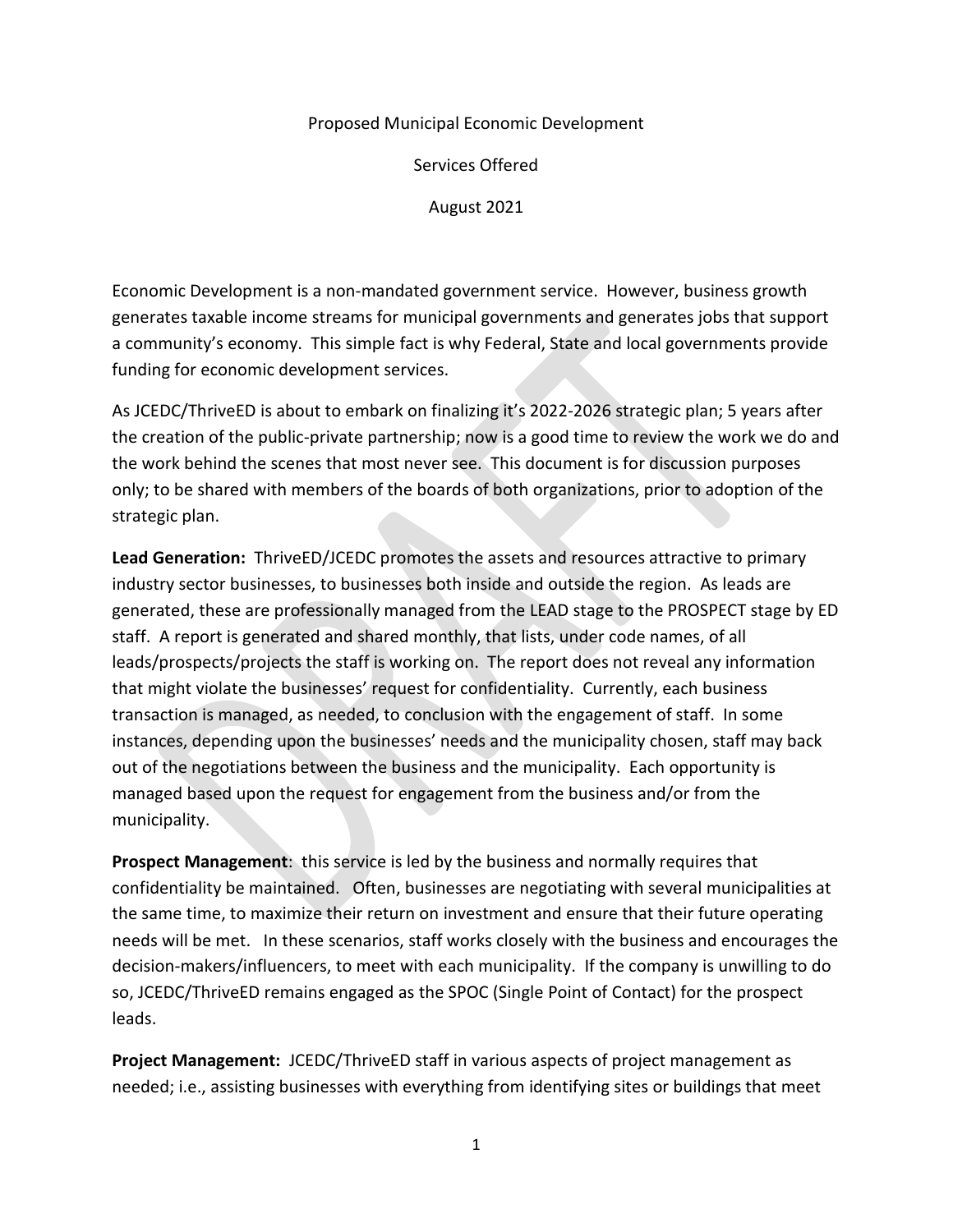#### Proposed Municipal Economic Development

Services Offered

August 2021

Economic Development is a non-mandated government service. However, business growth generates taxable income streams for municipal governments and generates jobs that support a community's economy. This simple fact is why Federal, State and local governments provide funding for economic development services.

As JCEDC/ThriveED is about to embark on finalizing it's 2022-2026 strategic plan; 5 years after the creation of the public-private partnership; now is a good time to review the work we do and the work behind the scenes that most never see. This document is for discussion purposes only; to be shared with members of the boards of both organizations, prior to adoption of the strategic plan.

**Lead Generation:** ThriveED/JCEDC promotes the assets and resources attractive to primary industry sector businesses, to businesses both inside and outside the region. As leads are generated, these are professionally managed from the LEAD stage to the PROSPECT stage by ED staff. A report is generated and shared monthly, that lists, under code names, of all leads/prospects/projects the staff is working on. The report does not reveal any information that might violate the businesses' request for confidentiality. Currently, each business transaction is managed, as needed, to conclusion with the engagement of staff. In some instances, depending upon the businesses' needs and the municipality chosen, staff may back out of the negotiations between the business and the municipality. Each opportunity is managed based upon the request for engagement from the business and/or from the municipality.

**Prospect Management**: this service is led by the business and normally requires that confidentiality be maintained. Often, businesses are negotiating with several municipalities at the same time, to maximize their return on investment and ensure that their future operating needs will be met. In these scenarios, staff works closely with the business and encourages the decision-makers/influencers, to meet with each municipality. If the company is unwilling to do so, JCEDC/ThriveED remains engaged as the SPOC (Single Point of Contact) for the prospect leads.

**Project Management:** JCEDC/ThriveED staff in various aspects of project management as needed; i.e., assisting businesses with everything from identifying sites or buildings that meet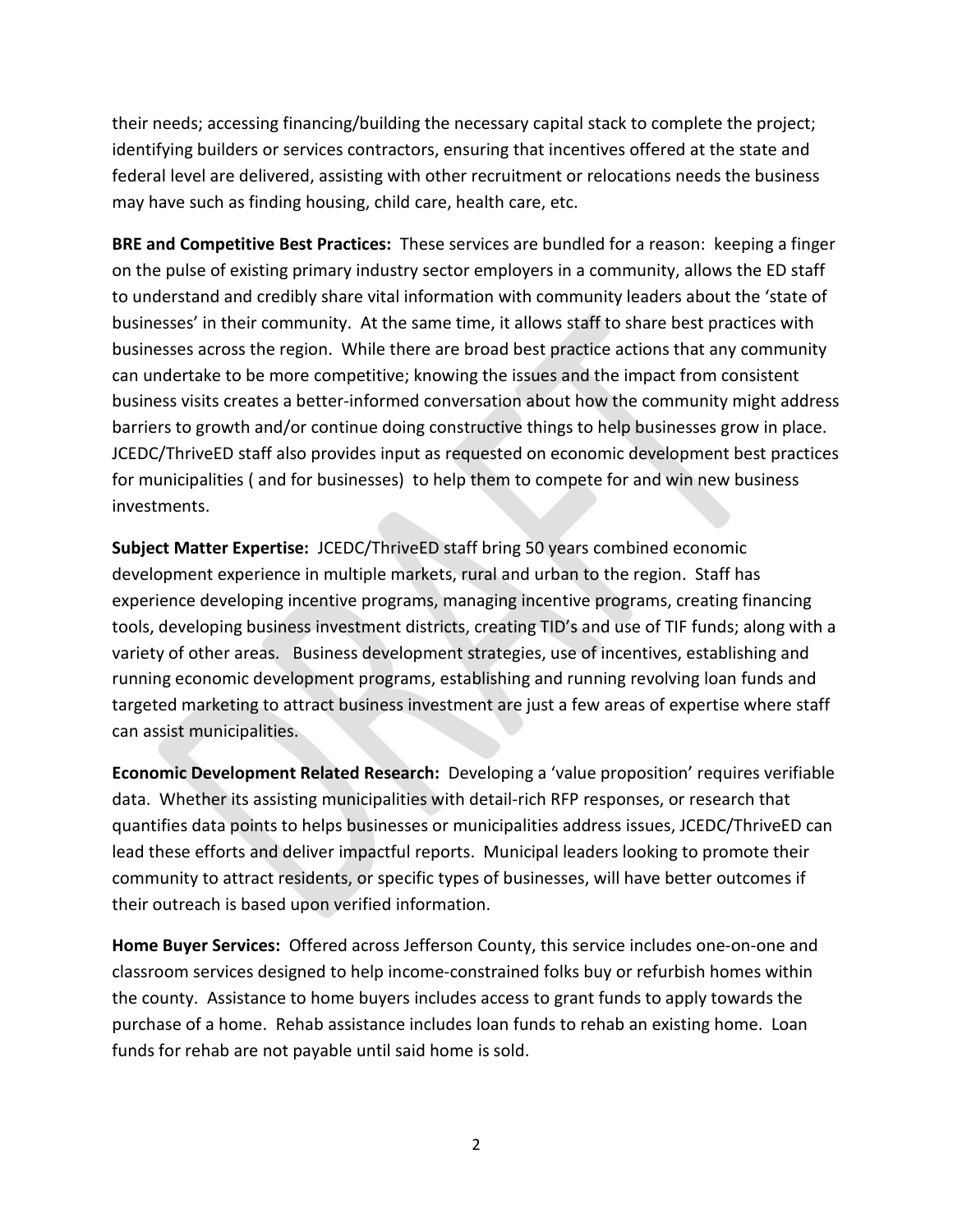their needs; accessing financing/building the necessary capital stack to complete the project; identifying builders or services contractors, ensuring that incentives offered at the state and federal level are delivered, assisting with other recruitment or relocations needs the business may have such as finding housing, child care, health care, etc.

**BRE and Competitive Best Practices:** These services are bundled for a reason: keeping a finger on the pulse of existing primary industry sector employers in a community, allows the ED staff to understand and credibly share vital information with community leaders about the 'state of businesses' in their community. At the same time, it allows staff to share best practices with businesses across the region. While there are broad best practice actions that any community can undertake to be more competitive; knowing the issues and the impact from consistent business visits creates a better-informed conversation about how the community might address barriers to growth and/or continue doing constructive things to help businesses grow in place. JCEDC/ThriveED staff also provides input as requested on economic development best practices for municipalities ( and for businesses) to help them to compete for and win new business investments.

**Subject Matter Expertise:** JCEDC/ThriveED staff bring 50 years combined economic development experience in multiple markets, rural and urban to the region. Staff has experience developing incentive programs, managing incentive programs, creating financing tools, developing business investment districts, creating TID's and use of TIF funds; along with a variety of other areas. Business development strategies, use of incentives, establishing and running economic development programs, establishing and running revolving loan funds and targeted marketing to attract business investment are just a few areas of expertise where staff can assist municipalities.

**Economic Development Related Research:** Developing a 'value proposition' requires verifiable data. Whether its assisting municipalities with detail-rich RFP responses, or research that quantifies data points to helps businesses or municipalities address issues, JCEDC/ThriveED can lead these efforts and deliver impactful reports. Municipal leaders looking to promote their community to attract residents, or specific types of businesses, will have better outcomes if their outreach is based upon verified information.

**Home Buyer Services:** Offered across Jefferson County, this service includes one-on-one and classroom services designed to help income-constrained folks buy or refurbish homes within the county. Assistance to home buyers includes access to grant funds to apply towards the purchase of a home. Rehab assistance includes loan funds to rehab an existing home. Loan funds for rehab are not payable until said home is sold.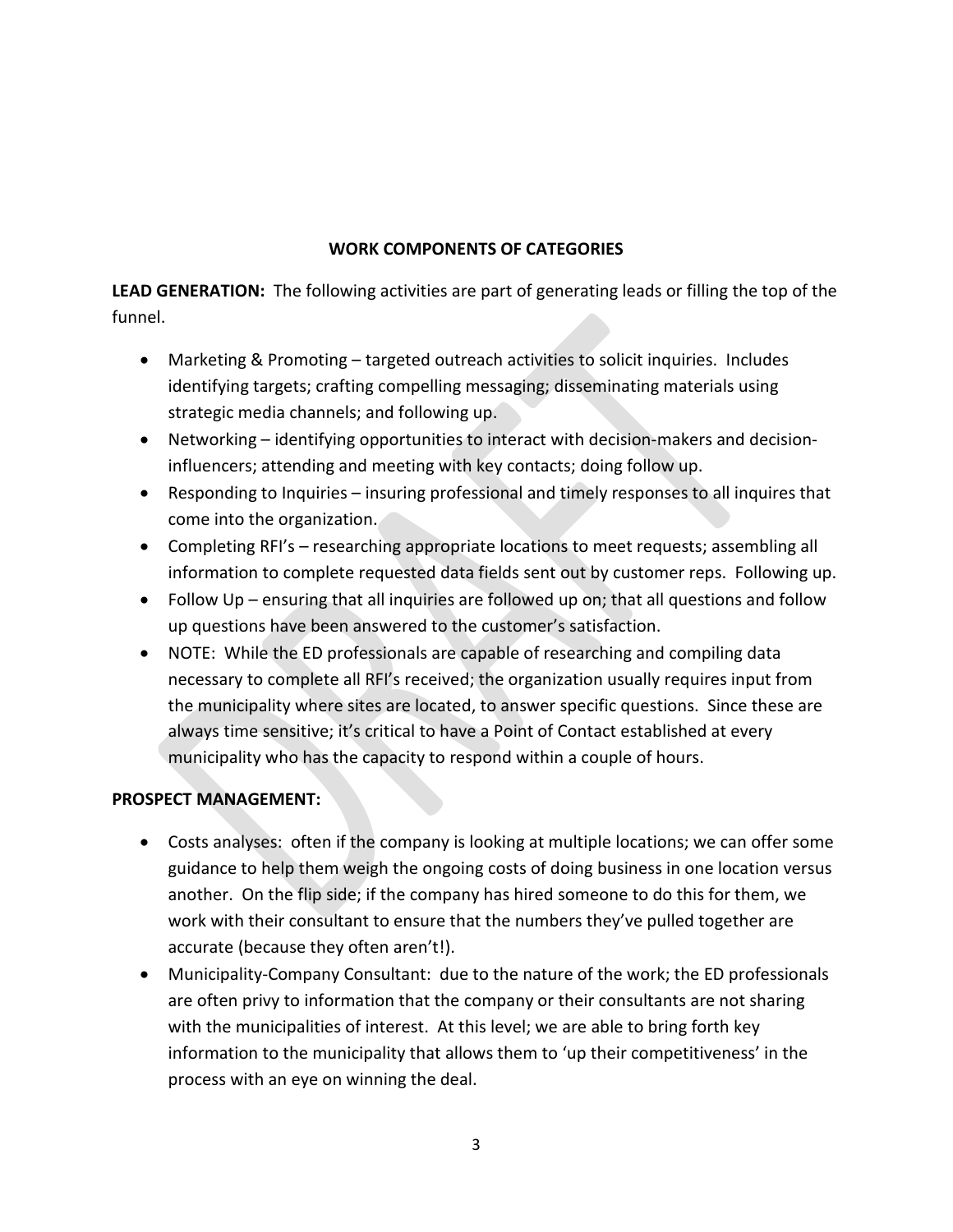### **WORK COMPONENTS OF CATEGORIES**

**LEAD GENERATION:** The following activities are part of generating leads or filling the top of the funnel.

- Marketing & Promoting targeted outreach activities to solicit inquiries. Includes identifying targets; crafting compelling messaging; disseminating materials using strategic media channels; and following up.
- Networking identifying opportunities to interact with decision-makers and decisioninfluencers; attending and meeting with key contacts; doing follow up.
- Responding to Inquiries insuring professional and timely responses to all inquires that come into the organization.
- Completing RFI's researching appropriate locations to meet requests; assembling all information to complete requested data fields sent out by customer reps. Following up.
- Follow Up ensuring that all inquiries are followed up on; that all questions and follow up questions have been answered to the customer's satisfaction.
- NOTE: While the ED professionals are capable of researching and compiling data necessary to complete all RFI's received; the organization usually requires input from the municipality where sites are located, to answer specific questions. Since these are always time sensitive; it's critical to have a Point of Contact established at every municipality who has the capacity to respond within a couple of hours.

## **PROSPECT MANAGEMENT:**

- Costs analyses: often if the company is looking at multiple locations; we can offer some guidance to help them weigh the ongoing costs of doing business in one location versus another. On the flip side; if the company has hired someone to do this for them, we work with their consultant to ensure that the numbers they've pulled together are accurate (because they often aren't!).
- Municipality-Company Consultant: due to the nature of the work; the ED professionals are often privy to information that the company or their consultants are not sharing with the municipalities of interest. At this level; we are able to bring forth key information to the municipality that allows them to 'up their competitiveness' in the process with an eye on winning the deal.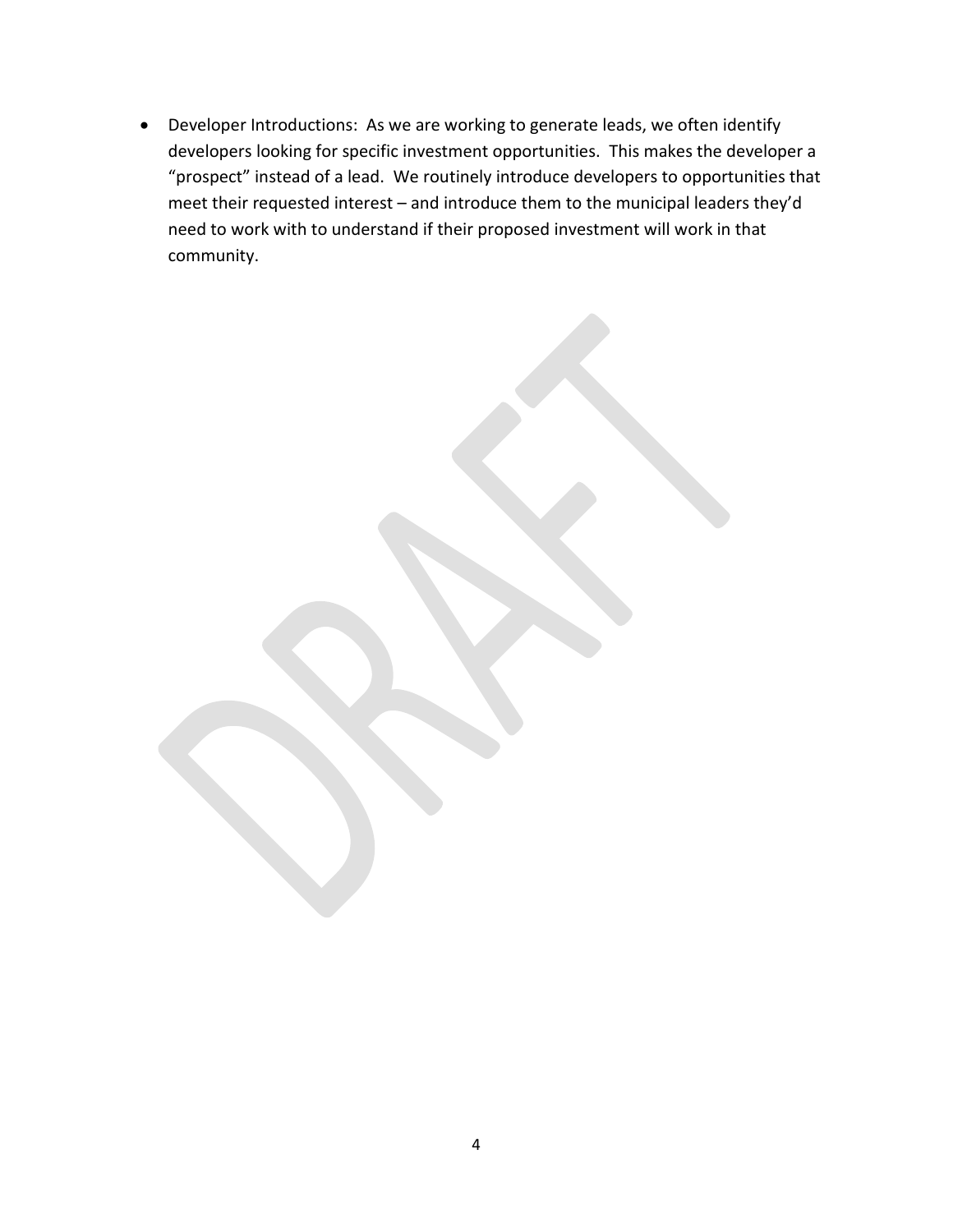• Developer Introductions: As we are working to generate leads, we often identify developers looking for specific investment opportunities. This makes the developer a "prospect" instead of a lead. We routinely introduce developers to opportunities that meet their requested interest – and introduce them to the municipal leaders they'd need to work with to understand if their proposed investment will work in that community.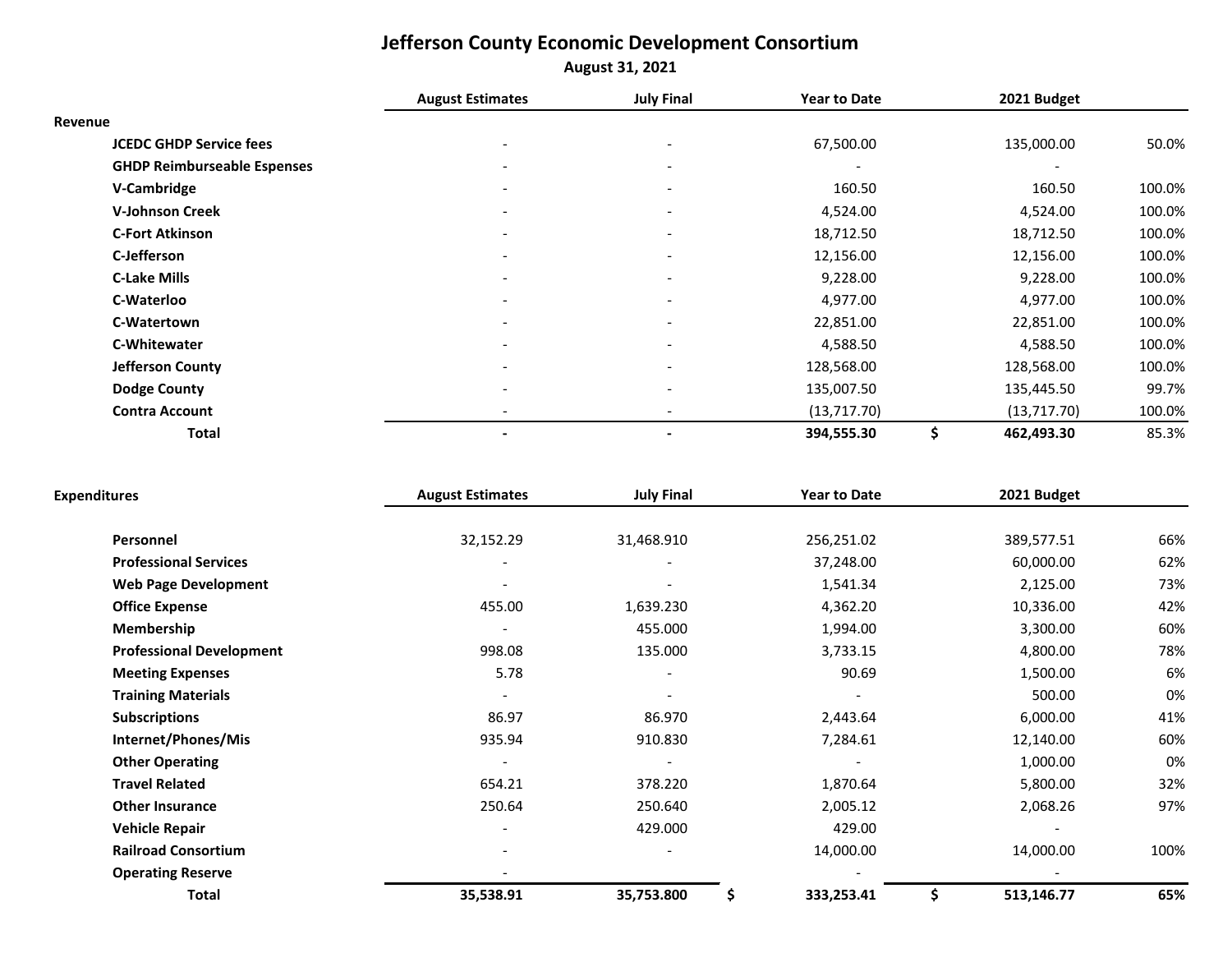# **Jefferson County Economic Development Consortium August 31, 2021**

|                                    | <b>August Estimates</b>  | <b>July Final</b>        | <b>Year to Date</b> | 2021 Budget              |        |
|------------------------------------|--------------------------|--------------------------|---------------------|--------------------------|--------|
| Revenue                            |                          |                          |                     |                          |        |
| <b>JCEDC GHDP Service fees</b>     |                          | $\overline{\phantom{a}}$ | 67,500.00           | 135,000.00               | 50.0%  |
| <b>GHDP Reimburseable Espenses</b> | $\overline{\phantom{a}}$ | $\overline{\phantom{a}}$ |                     | $\overline{\phantom{a}}$ |        |
| V-Cambridge                        |                          | $\overline{\phantom{a}}$ | 160.50              | 160.50                   | 100.0% |
| <b>V-Johnson Creek</b>             |                          | $\overline{\phantom{a}}$ | 4,524.00            | 4,524.00                 | 100.0% |
| <b>C-Fort Atkinson</b>             | $\overline{\phantom{a}}$ | $\overline{\phantom{a}}$ | 18,712.50           | 18,712.50                | 100.0% |
| C-Jefferson                        |                          | $\overline{\phantom{a}}$ | 12,156.00           | 12,156.00                | 100.0% |
| <b>C-Lake Mills</b>                |                          | $\overline{\phantom{a}}$ | 9,228.00            | 9,228.00                 | 100.0% |
| C-Waterloo                         |                          | $\overline{\phantom{a}}$ | 4,977.00            | 4,977.00                 | 100.0% |
| C-Watertown                        | $\overline{\phantom{a}}$ | $\overline{\phantom{a}}$ | 22,851.00           | 22,851.00                | 100.0% |
| C-Whitewater                       |                          | $\overline{\phantom{a}}$ | 4,588.50            | 4,588.50                 | 100.0% |
| <b>Jefferson County</b>            |                          | $\overline{\phantom{a}}$ | 128,568.00          | 128,568.00               | 100.0% |
| Dodge County                       |                          | $\overline{\phantom{a}}$ | 135,007.50          | 135,445.50               | 99.7%  |
| <b>Contra Account</b>              |                          | $\overline{\phantom{a}}$ | (13,717.70)         | (13,717.70)              | 100.0% |
| <b>Total</b>                       |                          | -                        | 394,555.30          | \$<br>462,493.30         | 85.3%  |

| <b>Expenditures</b>             | <b>August Estimates</b> | <b>July Final</b>        | <b>Year to Date</b> | 2021 Budget     |      |
|---------------------------------|-------------------------|--------------------------|---------------------|-----------------|------|
| Personnel                       | 32,152.29               | 31,468.910               | 256,251.02          | 389,577.51      | 66%  |
| <b>Professional Services</b>    |                         |                          | 37,248.00           | 60,000.00       | 62%  |
| <b>Web Page Development</b>     |                         |                          | 1,541.34            | 2,125.00        | 73%  |
| <b>Office Expense</b>           | 455.00                  | 1,639.230                | 4,362.20            | 10,336.00       | 42%  |
| Membership                      |                         | 455.000                  | 1,994.00            | 3,300.00        | 60%  |
| <b>Professional Development</b> | 998.08                  | 135.000                  | 3,733.15            | 4,800.00        | 78%  |
| <b>Meeting Expenses</b>         | 5.78                    | $\overline{\phantom{a}}$ | 90.69               | 1,500.00        | 6%   |
| <b>Training Materials</b>       |                         |                          |                     | 500.00          | 0%   |
| <b>Subscriptions</b>            | 86.97                   | 86.970                   | 2,443.64            | 6,000.00        | 41%  |
| Internet/Phones/Mis             | 935.94                  | 910.830                  | 7,284.61            | 12,140.00       | 60%  |
| <b>Other Operating</b>          |                         |                          |                     | 1,000.00        | 0%   |
| <b>Travel Related</b>           | 654.21                  | 378.220                  | 1,870.64            | 5,800.00        | 32%  |
| <b>Other Insurance</b>          | 250.64                  | 250.640                  | 2,005.12            | 2,068.26        | 97%  |
| <b>Vehicle Repair</b>           |                         | 429.000                  | 429.00              |                 |      |
| <b>Railroad Consortium</b>      |                         |                          | 14,000.00           | 14,000.00       | 100% |
| <b>Operating Reserve</b>        |                         |                          |                     |                 |      |
| <b>Total</b>                    | 35,538.91               | 35,753.800               | 333,253.41<br>\$    | 513,146.77<br>s | 65%  |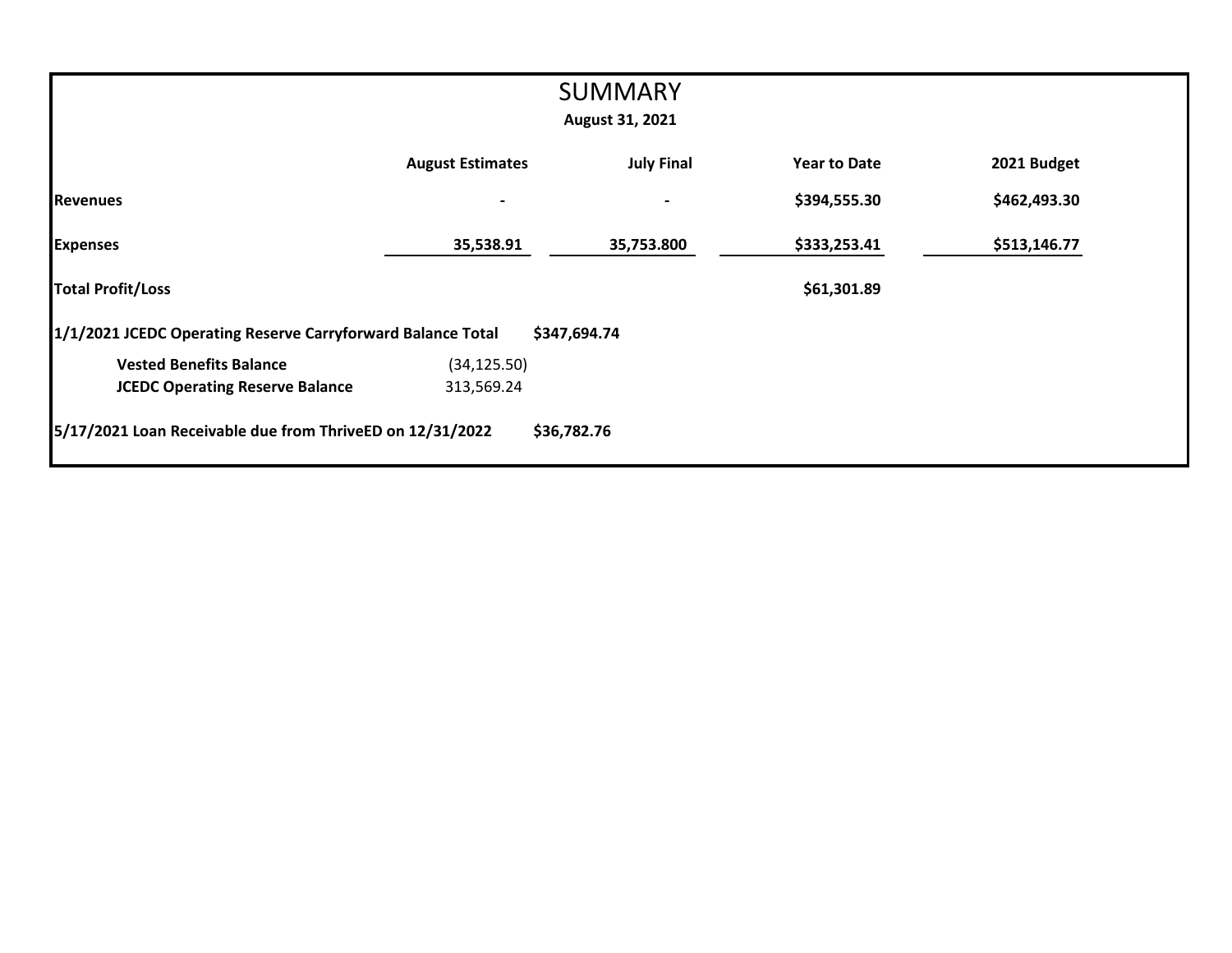|                                                             |                          | <b>SUMMARY</b>           |                     |              |
|-------------------------------------------------------------|--------------------------|--------------------------|---------------------|--------------|
|                                                             |                          | August 31, 2021          |                     |              |
|                                                             |                          |                          |                     |              |
|                                                             | <b>August Estimates</b>  | <b>July Final</b>        | <b>Year to Date</b> | 2021 Budget  |
| <b>Revenues</b>                                             | $\overline{\phantom{a}}$ | $\overline{\phantom{0}}$ | \$394,555.30        | \$462,493.30 |
| <b>Expenses</b>                                             | 35,538.91                | 35,753.800               | \$333,253.41        | \$513,146.77 |
| <b>Total Profit/Loss</b>                                    |                          |                          | \$61,301.89         |              |
| 1/1/2021 JCEDC Operating Reserve Carryforward Balance Total |                          | \$347,694.74             |                     |              |
| <b>Vested Benefits Balance</b>                              | (34, 125.50)             |                          |                     |              |
| <b>JCEDC Operating Reserve Balance</b>                      | 313,569.24               |                          |                     |              |
| 5/17/2021 Loan Receivable due from ThriveED on 12/31/2022   |                          | \$36,782.76              |                     |              |
|                                                             |                          |                          |                     |              |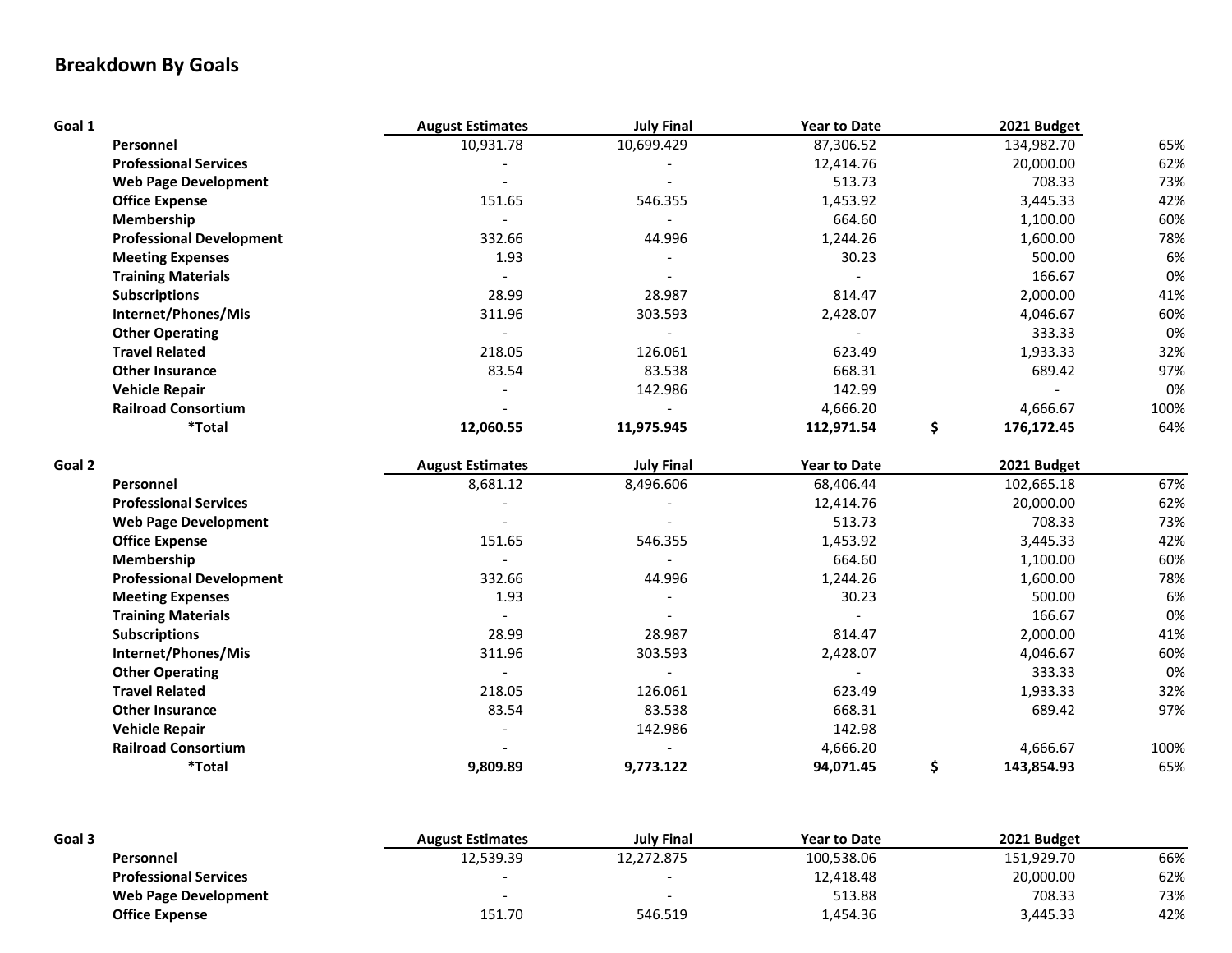# **Breakdown By Goals**

| Goal 1 |                                 | <b>August Estimates</b> | <b>July Final</b> | <b>Year to Date</b> | 2021 Budget      |      |
|--------|---------------------------------|-------------------------|-------------------|---------------------|------------------|------|
|        | Personnel                       | 10,931.78               | 10,699.429        | 87,306.52           | 134,982.70       | 65%  |
|        | <b>Professional Services</b>    |                         |                   | 12,414.76           | 20,000.00        | 62%  |
|        | <b>Web Page Development</b>     |                         |                   | 513.73              | 708.33           | 73%  |
|        | <b>Office Expense</b>           | 151.65                  | 546.355           | 1,453.92            | 3,445.33         | 42%  |
|        | Membership                      | $\overline{a}$          |                   | 664.60              | 1,100.00         | 60%  |
|        | <b>Professional Development</b> | 332.66                  | 44.996            | 1,244.26            | 1,600.00         | 78%  |
|        | <b>Meeting Expenses</b>         | 1.93                    |                   | 30.23               | 500.00           | 6%   |
|        | <b>Training Materials</b>       |                         |                   |                     | 166.67           | 0%   |
|        | <b>Subscriptions</b>            | 28.99                   | 28.987            | 814.47              | 2,000.00         | 41%  |
|        | Internet/Phones/Mis             | 311.96                  | 303.593           | 2,428.07            | 4,046.67         | 60%  |
|        | <b>Other Operating</b>          |                         |                   |                     | 333.33           | 0%   |
|        | <b>Travel Related</b>           | 218.05                  | 126.061           | 623.49              | 1,933.33         | 32%  |
|        | <b>Other Insurance</b>          | 83.54                   | 83.538            | 668.31              | 689.42           | 97%  |
|        | <b>Vehicle Repair</b>           |                         | 142.986           | 142.99              |                  | 0%   |
|        | <b>Railroad Consortium</b>      |                         |                   | 4,666.20            | 4,666.67         | 100% |
|        | *Total                          | 12,060.55               | 11,975.945        | 112,971.54          | \$<br>176,172.45 | 64%  |
| Goal 2 |                                 | <b>August Estimates</b> | <b>July Final</b> | <b>Year to Date</b> | 2021 Budget      |      |
|        | Personnel                       | 8,681.12                | 8,496.606         | 68,406.44           | 102,665.18       | 67%  |
|        | <b>Professional Services</b>    |                         |                   | 12,414.76           | 20,000.00        | 62%  |
|        | <b>Web Page Development</b>     |                         |                   | 513.73              | 708.33           | 73%  |
|        | <b>Office Expense</b>           | 151.65                  | 546.355           | 1,453.92            | 3,445.33         | 42%  |
|        | Membership                      |                         |                   | 664.60              | 1,100.00         | 60%  |
|        | <b>Professional Development</b> | 332.66                  | 44.996            | 1,244.26            | 1,600.00         | 78%  |
|        | <b>Meeting Expenses</b>         | 1.93                    |                   | 30.23               | 500.00           | 6%   |
|        | <b>Training Materials</b>       |                         |                   |                     | 166.67           | 0%   |
|        | <b>Subscriptions</b>            | 28.99                   | 28.987            | 814.47              | 2,000.00         | 41%  |
|        | Internet/Phones/Mis             | 311.96                  | 303.593           | 2,428.07            | 4,046.67         | 60%  |
|        | <b>Other Operating</b>          |                         |                   |                     | 333.33           | 0%   |
|        |                                 |                         |                   | 623.49              | 1,933.33         | 32%  |
|        | <b>Travel Related</b>           | 218.05                  | 126.061           |                     |                  |      |
|        | <b>Other Insurance</b>          | 83.54                   | 83.538            | 668.31              | 689.42           | 97%  |
|        | <b>Vehicle Repair</b>           |                         | 142.986           | 142.98              |                  |      |
|        | <b>Railroad Consortium</b>      |                         |                   | 4,666.20            | 4,666.67         | 100% |

| Goal 3                       | <b>August Estimates</b> | <b>July Final</b>        | <b>Year to Date</b> | 2021 Budget |     |
|------------------------------|-------------------------|--------------------------|---------------------|-------------|-----|
| Personnel                    | 12,539.39               | 12.272.875               | 100.538.06          | 151.929.70  | 66% |
| <b>Professional Services</b> |                         | -                        | 12,418.48           | 20,000.00   | 62% |
| Web Page Development         |                         | $\overline{\phantom{a}}$ | 513.88              | 708.33      | 73% |
| <b>Office Expense</b>        | 151.70                  | 546.519                  | 4,454.36            | 3,445.33    | 42% |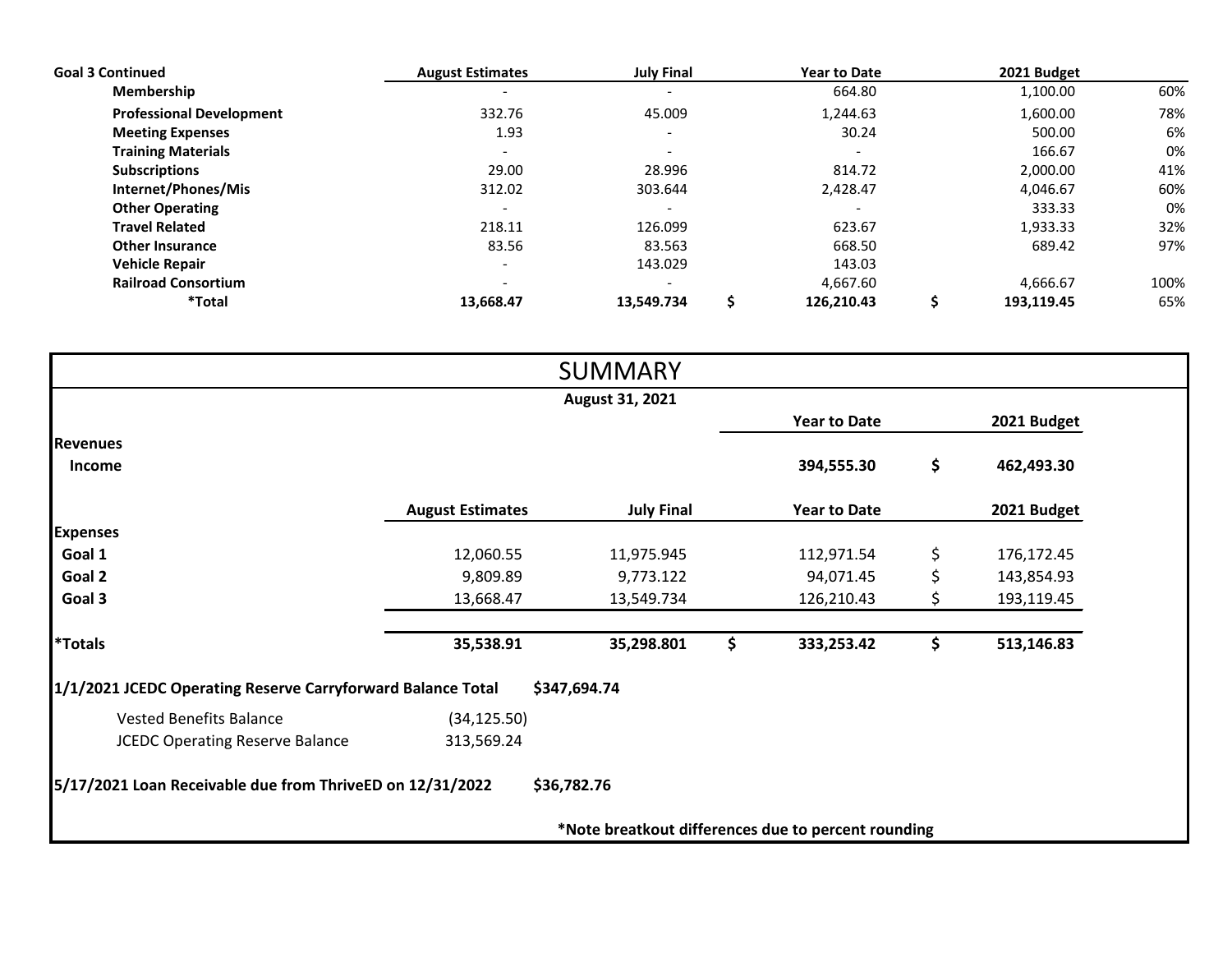| <b>Goal 3 Continued</b>         | <b>August Estimates</b>  | <b>July Final</b>        | <b>Year to Date</b> | 2021 Budget |      |
|---------------------------------|--------------------------|--------------------------|---------------------|-------------|------|
| Membership                      |                          | $\overline{\phantom{a}}$ | 664.80              | 1,100.00    | 60%  |
| <b>Professional Development</b> | 332.76                   | 45.009                   | 1.244.63            | 1,600.00    | 78%  |
| <b>Meeting Expenses</b>         | 1.93                     | $\overline{\phantom{a}}$ | 30.24               | 500.00      | 6%   |
| <b>Training Materials</b>       | $\overline{\phantom{a}}$ | $\overline{\phantom{a}}$ |                     | 166.67      | 0%   |
| <b>Subscriptions</b>            | 29.00                    | 28.996                   | 814.72              | 2,000.00    | 41%  |
| Internet/Phones/Mis             | 312.02                   | 303.644                  | 2,428.47            | 4,046.67    | 60%  |
| <b>Other Operating</b>          |                          | $\overline{\phantom{a}}$ |                     | 333.33      | 0%   |
| <b>Travel Related</b>           | 218.11                   | 126.099                  | 623.67              | 1,933.33    | 32%  |
| <b>Other Insurance</b>          | 83.56                    | 83.563                   | 668.50              | 689.42      | 97%  |
| <b>Vehicle Repair</b>           |                          | 143.029                  | 143.03              |             |      |
| <b>Railroad Consortium</b>      |                          | $\overline{\phantom{a}}$ | 4,667.60            | 4.666.67    | 100% |
| *Total                          | 13.668.47                | 13.549.734               | 126,210.43          | 193.119.45  | 65%  |

|                                                             |                         | <b>SUMMARY</b>                                      |                     |                  |
|-------------------------------------------------------------|-------------------------|-----------------------------------------------------|---------------------|------------------|
|                                                             |                         | August 31, 2021                                     |                     |                  |
|                                                             |                         |                                                     | <b>Year to Date</b> | 2021 Budget      |
| <b>Revenues</b>                                             |                         |                                                     |                     |                  |
| Income                                                      |                         |                                                     | 394,555.30          | \$<br>462,493.30 |
|                                                             | <b>August Estimates</b> | <b>July Final</b>                                   | <b>Year to Date</b> | 2021 Budget      |
| <b>Expenses</b>                                             |                         |                                                     |                     |                  |
| Goal 1                                                      | 12,060.55               | 11,975.945                                          | 112,971.54          | \$<br>176,172.45 |
| Goal 2                                                      | 9,809.89                | 9,773.122                                           | 94,071.45           | \$<br>143,854.93 |
| Goal 3                                                      | 13,668.47               | 13,549.734                                          | 126,210.43          | \$<br>193,119.45 |
| <i><b>*Totals</b></i>                                       | 35,538.91               | 35,298.801                                          | \$<br>333,253.42    | \$<br>513,146.83 |
| 1/1/2021 JCEDC Operating Reserve Carryforward Balance Total |                         | \$347,694.74                                        |                     |                  |
| <b>Vested Benefits Balance</b>                              | (34, 125.50)            |                                                     |                     |                  |
| <b>JCEDC Operating Reserve Balance</b>                      | 313,569.24              |                                                     |                     |                  |
| 5/17/2021 Loan Receivable due from ThriveED on 12/31/2022   |                         | \$36,782.76                                         |                     |                  |
|                                                             |                         | *Note breatkout differences due to percent rounding |                     |                  |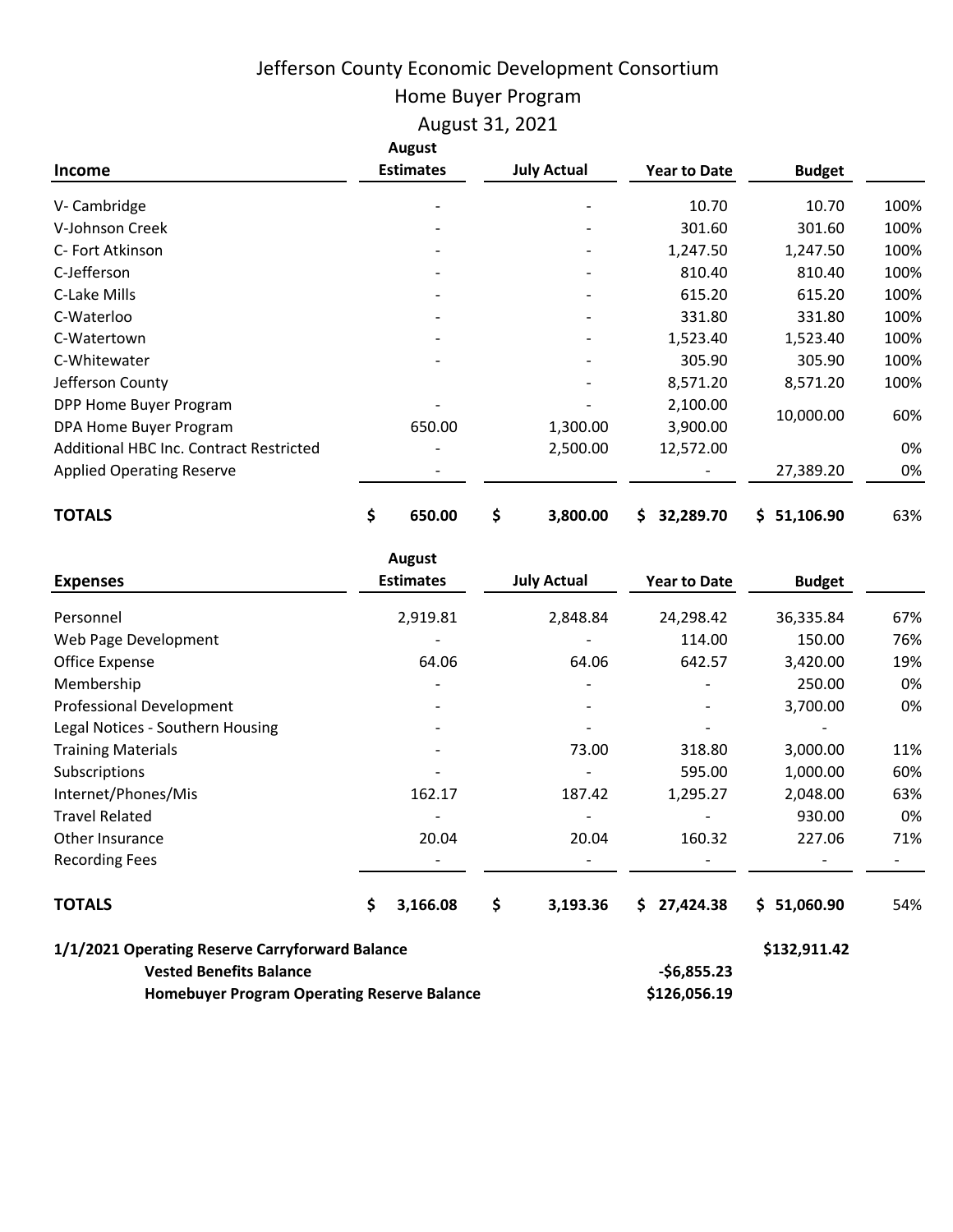# Jefferson County Economic Development Consortium

Home Buyer Program

August 31, 2021

| <b>Income</b>                           | <b>August</b><br><b>Estimates</b> | <b>July Actual</b> | <b>Year to Date</b> | <b>Budget</b>   |      |
|-----------------------------------------|-----------------------------------|--------------------|---------------------|-----------------|------|
| V-Cambridge                             |                                   |                    | 10.70               | 10.70           | 100% |
| V-Johnson Creek                         |                                   |                    | 301.60              | 301.60          | 100% |
| C- Fort Atkinson                        |                                   |                    | 1,247.50            | 1,247.50        | 100% |
| C-Jefferson                             |                                   |                    | 810.40              | 810.40          | 100% |
| C-Lake Mills                            |                                   |                    | 615.20              | 615.20          | 100% |
| C-Waterloo                              |                                   |                    | 331.80              | 331.80          | 100% |
| C-Watertown                             |                                   |                    | 1,523.40            | 1,523.40        | 100% |
| C-Whitewater                            |                                   |                    | 305.90              | 305.90          | 100% |
| Jefferson County                        |                                   |                    | 8,571.20            | 8,571.20        | 100% |
| DPP Home Buyer Program                  |                                   |                    | 2,100.00            |                 |      |
| DPA Home Buyer Program                  | 650.00                            | 1,300.00           | 3,900.00            | 10,000.00       | 60%  |
| Additional HBC Inc. Contract Restricted |                                   | 2,500.00           | 12,572.00           |                 | 0%   |
| <b>Applied Operating Reserve</b>        |                                   |                    |                     | 27,389.20       | 0%   |
| <b>TOTALS</b>                           | \$<br>650.00                      | \$<br>3,800.00     | 32,289.70<br>\$.    | Ś.<br>51,106.90 | 63%  |

| <b>Expenses</b>                                                                   | <b>August</b><br><b>Estimates</b> | <b>July Actual</b> | <b>Year to Date</b> | <b>Budget</b> |     |
|-----------------------------------------------------------------------------------|-----------------------------------|--------------------|---------------------|---------------|-----|
| Personnel                                                                         | 2,919.81                          | 2,848.84           | 24,298.42           | 36,335.84     | 67% |
| Web Page Development                                                              |                                   |                    | 114.00              | 150.00        | 76% |
| Office Expense                                                                    | 64.06                             | 64.06              | 642.57              | 3,420.00      | 19% |
| Membership                                                                        |                                   |                    |                     | 250.00        | 0%  |
| Professional Development                                                          |                                   |                    |                     | 3,700.00      | 0%  |
| Legal Notices - Southern Housing                                                  |                                   |                    |                     |               |     |
| <b>Training Materials</b>                                                         |                                   | 73.00              | 318.80              | 3,000.00      | 11% |
| Subscriptions                                                                     |                                   |                    | 595.00              | 1,000.00      | 60% |
| Internet/Phones/Mis                                                               | 162.17                            | 187.42             | 1,295.27            | 2,048.00      | 63% |
| <b>Travel Related</b>                                                             |                                   |                    |                     | 930.00        | 0%  |
| Other Insurance                                                                   | 20.04                             | 20.04              | 160.32              | 227.06        | 71% |
| <b>Recording Fees</b>                                                             |                                   |                    |                     |               |     |
| <b>TOTALS</b>                                                                     | \$<br>3,166.08                    | \$<br>3,193.36     | \$<br>27,424.38     | \$1,060.90    | 54% |
| 1/1/2021 Operating Reserve Carryforward Balance<br><b>Vested Benefits Balance</b> |                                   |                    | $-$6,855.23$        | \$132,911.42  |     |
| <b>Homebuyer Program Operating Reserve Balance</b>                                |                                   |                    | \$126,056.19        |               |     |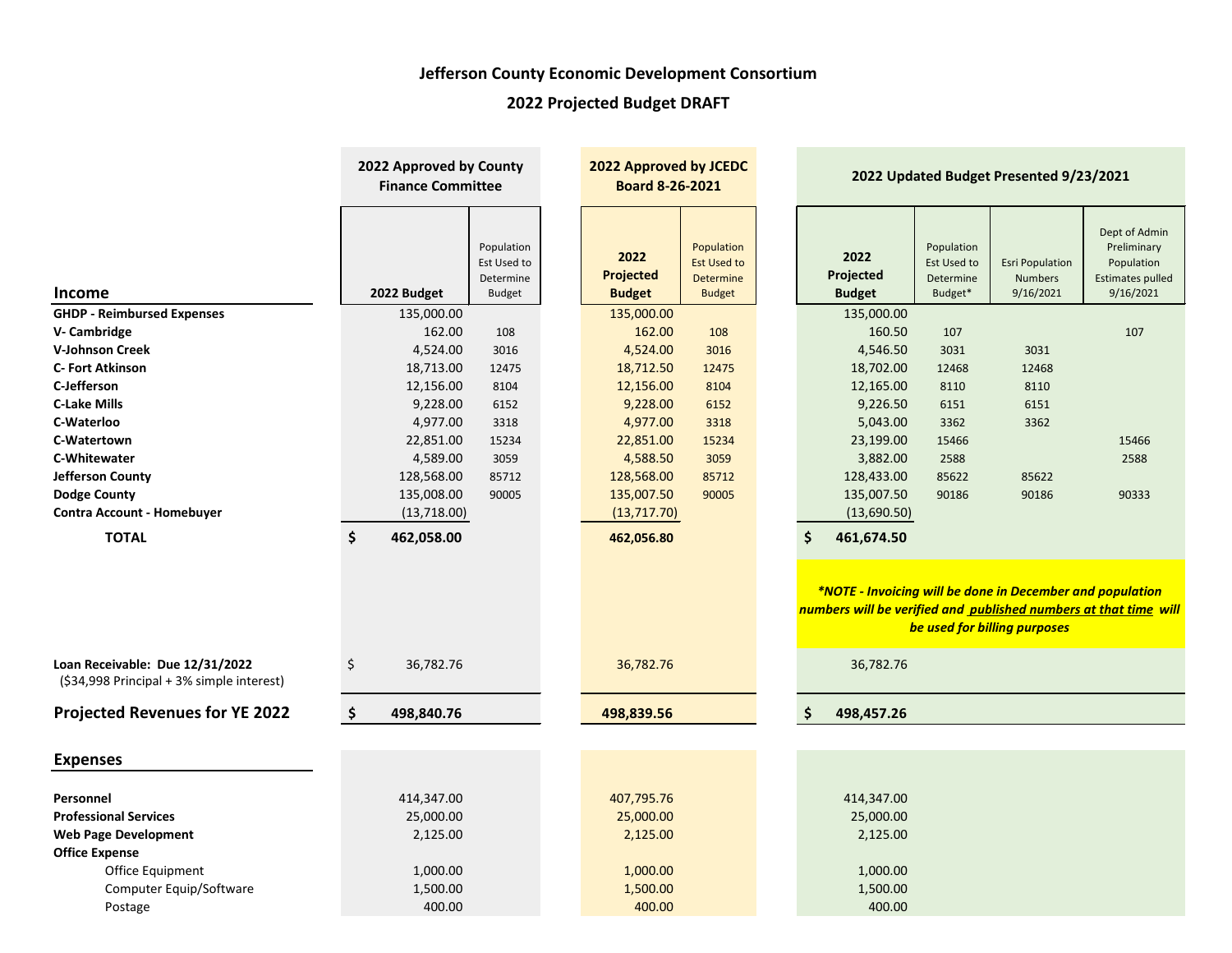# **Jefferson County Economic Development Consortium**

# **2022 Projected Budget DRAFT**

|                                                                              | 2022 Approved by County<br><b>Finance Committee</b> |                                                         | 2022 Approved by JCEDC<br><b>Board 8-26-2021</b> |                                           |                                                                |  |                                    | 2022 Updated Budget Presented 9/23/2021           |                                                                                           |                                                                                    |
|------------------------------------------------------------------------------|-----------------------------------------------------|---------------------------------------------------------|--------------------------------------------------|-------------------------------------------|----------------------------------------------------------------|--|------------------------------------|---------------------------------------------------|-------------------------------------------------------------------------------------------|------------------------------------------------------------------------------------|
| Income                                                                       | 2022 Budget                                         | Population<br>Est Used to<br>Determine<br><b>Budget</b> |                                                  | 2022<br><b>Projected</b><br><b>Budget</b> | Population<br><b>Est Used to</b><br>Determine<br><b>Budget</b> |  | 2022<br>Projected<br><b>Budget</b> | Population<br>Est Used to<br>Determine<br>Budget* | <b>Esri Population</b><br><b>Numbers</b><br>9/16/2021                                     | Dept of Admin<br>Preliminary<br>Population<br><b>Estimates pulled</b><br>9/16/2021 |
| <b>GHDP - Reimbursed Expenses</b>                                            | 135,000.00                                          |                                                         |                                                  | 135,000.00                                |                                                                |  | 135,000.00                         |                                                   |                                                                                           |                                                                                    |
| V- Cambridge                                                                 | 162.00                                              | 108                                                     |                                                  | 162.00                                    | 108                                                            |  | 160.50                             | 107                                               |                                                                                           | 107                                                                                |
| <b>V-Johnson Creek</b>                                                       | 4,524.00                                            | 3016                                                    |                                                  | 4,524.00                                  | 3016                                                           |  | 4,546.50                           | 3031                                              | 3031                                                                                      |                                                                                    |
| <b>C- Fort Atkinson</b>                                                      | 18,713.00                                           | 12475                                                   |                                                  | 18,712.50                                 | 12475                                                          |  | 18,702.00                          | 12468                                             | 12468                                                                                     |                                                                                    |
| C-Jefferson                                                                  | 12,156.00                                           | 8104                                                    |                                                  | 12,156.00                                 | 8104                                                           |  | 12,165.00                          | 8110                                              | 8110                                                                                      |                                                                                    |
| <b>C-Lake Mills</b>                                                          | 9,228.00                                            | 6152                                                    |                                                  | 9,228.00                                  | 6152                                                           |  | 9,226.50                           | 6151                                              | 6151                                                                                      |                                                                                    |
| C-Waterloo                                                                   | 4,977.00                                            | 3318                                                    |                                                  | 4,977.00                                  | 3318                                                           |  | 5,043.00                           | 3362                                              | 3362                                                                                      |                                                                                    |
| C-Watertown                                                                  | 22,851.00                                           | 15234                                                   |                                                  | 22,851.00                                 | 15234                                                          |  | 23,199.00                          | 15466                                             |                                                                                           | 15466                                                                              |
| <b>C-Whitewater</b>                                                          | 4,589.00                                            | 3059                                                    |                                                  | 4,588.50                                  | 3059                                                           |  | 3,882.00                           | 2588                                              |                                                                                           | 2588                                                                               |
| <b>Jefferson County</b>                                                      | 128,568.00                                          | 85712                                                   |                                                  | 128,568.00                                | 85712                                                          |  | 128,433.00                         | 85622                                             | 85622                                                                                     |                                                                                    |
| <b>Dodge County</b>                                                          | 135,008.00                                          | 90005                                                   |                                                  | 135,007.50                                | 90005                                                          |  | 135,007.50                         | 90186                                             | 90186                                                                                     | 90333                                                                              |
| <b>Contra Account - Homebuyer</b>                                            | (13, 718.00)                                        |                                                         |                                                  | (13,717.70)                               |                                                                |  | (13,690.50)                        |                                                   |                                                                                           |                                                                                    |
| <b>TOTAL</b>                                                                 | \$<br>462,058.00                                    |                                                         |                                                  | 462,056.80                                |                                                                |  | \$<br>461,674.50                   |                                                   |                                                                                           |                                                                                    |
|                                                                              |                                                     |                                                         |                                                  |                                           |                                                                |  |                                    |                                                   | *NOTE - Invoicing will be done in December and population<br>be used for billing purposes | numbers will be verified and published numbers at that time will                   |
| Loan Receivable: Due 12/31/2022<br>(\$34,998 Principal + 3% simple interest) | \$<br>36,782.76                                     |                                                         |                                                  | 36,782.76                                 |                                                                |  | 36,782.76                          |                                                   |                                                                                           |                                                                                    |
| <b>Projected Revenues for YE 2022</b>                                        | \$<br>498,840.76                                    |                                                         |                                                  | 498,839.56                                |                                                                |  | \$<br>498,457.26                   |                                                   |                                                                                           |                                                                                    |
|                                                                              |                                                     |                                                         |                                                  |                                           |                                                                |  |                                    |                                                   |                                                                                           |                                                                                    |
| <b>Expenses</b>                                                              |                                                     |                                                         |                                                  |                                           |                                                                |  |                                    |                                                   |                                                                                           |                                                                                    |
|                                                                              |                                                     |                                                         |                                                  |                                           |                                                                |  |                                    |                                                   |                                                                                           |                                                                                    |
| Personnel<br><b>Professional Services</b>                                    | 414,347.00                                          |                                                         |                                                  | 407,795.76                                |                                                                |  | 414,347.00                         |                                                   |                                                                                           |                                                                                    |
| <b>Web Page Development</b>                                                  | 25,000.00<br>2,125.00                               |                                                         |                                                  | 25,000.00<br>2,125.00                     |                                                                |  | 25,000.00<br>2,125.00              |                                                   |                                                                                           |                                                                                    |
| <b>Office Expense</b>                                                        |                                                     |                                                         |                                                  |                                           |                                                                |  |                                    |                                                   |                                                                                           |                                                                                    |
|                                                                              | 1,000.00                                            |                                                         |                                                  | 1,000.00                                  |                                                                |  | 1,000.00                           |                                                   |                                                                                           |                                                                                    |
| Office Equipment<br>Computer Equip/Software                                  | 1,500.00                                            |                                                         |                                                  |                                           |                                                                |  |                                    |                                                   |                                                                                           |                                                                                    |
| Postage                                                                      | 400.00                                              |                                                         |                                                  | 1,500.00<br>400.00                        |                                                                |  | 1,500.00<br>400.00                 |                                                   |                                                                                           |                                                                                    |
|                                                                              |                                                     |                                                         |                                                  |                                           |                                                                |  |                                    |                                                   |                                                                                           |                                                                                    |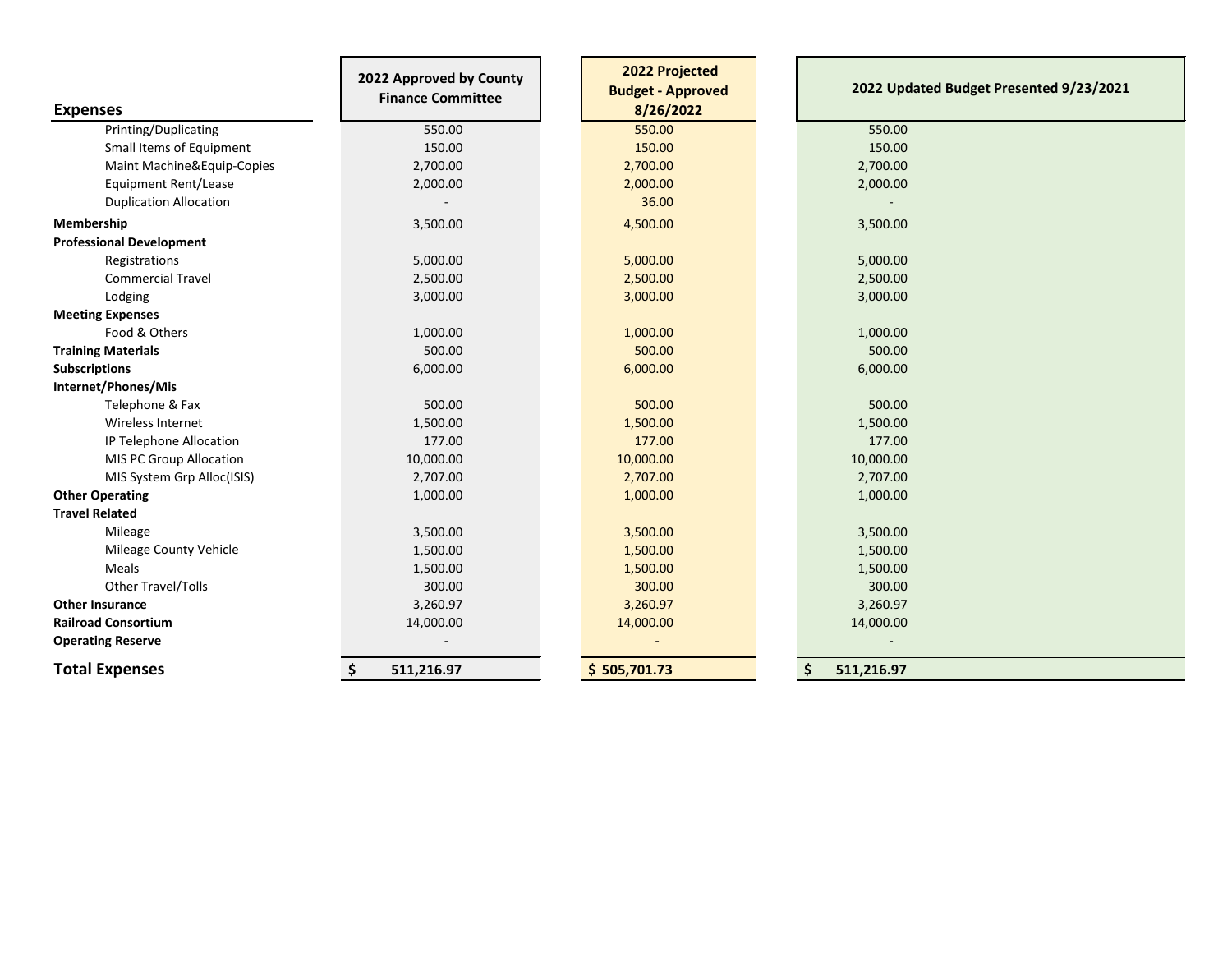| <b>Expenses</b>                 | 2022 Approved by County<br><b>Finance Committee</b> | 2022 Projected<br><b>Budget - Approved</b><br>8/26/2022 | 2022 Updated Budget Presented 9/23/2021 |
|---------------------------------|-----------------------------------------------------|---------------------------------------------------------|-----------------------------------------|
| Printing/Duplicating            | 550.00                                              | 550.00                                                  | 550.00                                  |
| Small Items of Equipment        | 150.00                                              | 150.00                                                  | 150.00                                  |
| Maint Machine&Equip-Copies      | 2,700.00                                            | 2,700.00                                                | 2,700.00                                |
| <b>Equipment Rent/Lease</b>     | 2,000.00                                            | 2,000.00                                                | 2,000.00                                |
| <b>Duplication Allocation</b>   |                                                     | 36.00                                                   |                                         |
| Membership                      | 3,500.00                                            | 4,500.00                                                | 3,500.00                                |
| <b>Professional Development</b> |                                                     |                                                         |                                         |
| Registrations                   | 5,000.00                                            | 5,000.00                                                | 5,000.00                                |
| <b>Commercial Travel</b>        | 2,500.00                                            | 2,500.00                                                | 2,500.00                                |
| Lodging                         | 3,000.00                                            | 3,000.00                                                | 3,000.00                                |
| <b>Meeting Expenses</b>         |                                                     |                                                         |                                         |
| Food & Others                   | 1,000.00                                            | 1,000.00                                                | 1,000.00                                |
| <b>Training Materials</b>       | 500.00                                              | 500.00                                                  | 500.00                                  |
| <b>Subscriptions</b>            | 6,000.00                                            | 6,000.00                                                | 6,000.00                                |
| Internet/Phones/Mis             |                                                     |                                                         |                                         |
| Telephone & Fax                 | 500.00                                              | 500.00                                                  | 500.00                                  |
| Wireless Internet               | 1,500.00                                            | 1,500.00                                                | 1,500.00                                |
| IP Telephone Allocation         | 177.00                                              | 177.00                                                  | 177.00                                  |
| MIS PC Group Allocation         | 10,000.00                                           | 10,000.00                                               | 10,000.00                               |
| MIS System Grp Alloc(ISIS)      | 2,707.00                                            | 2,707.00                                                | 2,707.00                                |
| <b>Other Operating</b>          | 1,000.00                                            | 1,000.00                                                | 1,000.00                                |
| <b>Travel Related</b>           |                                                     |                                                         |                                         |
| Mileage                         | 3,500.00                                            | 3,500.00                                                | 3,500.00                                |
| <b>Mileage County Vehicle</b>   | 1,500.00                                            | 1,500.00                                                | 1,500.00                                |
| Meals                           | 1,500.00                                            | 1,500.00                                                | 1,500.00                                |
| Other Travel/Tolls              | 300.00                                              | 300.00                                                  | 300.00                                  |
| <b>Other Insurance</b>          | 3,260.97                                            | 3,260.97                                                | 3,260.97                                |
| <b>Railroad Consortium</b>      | 14,000.00                                           | 14,000.00                                               | 14,000.00                               |
| <b>Operating Reserve</b>        |                                                     |                                                         |                                         |
| <b>Total Expenses</b>           | \$<br>511,216.97                                    | \$505,701.73                                            | \$<br>511,216.97                        |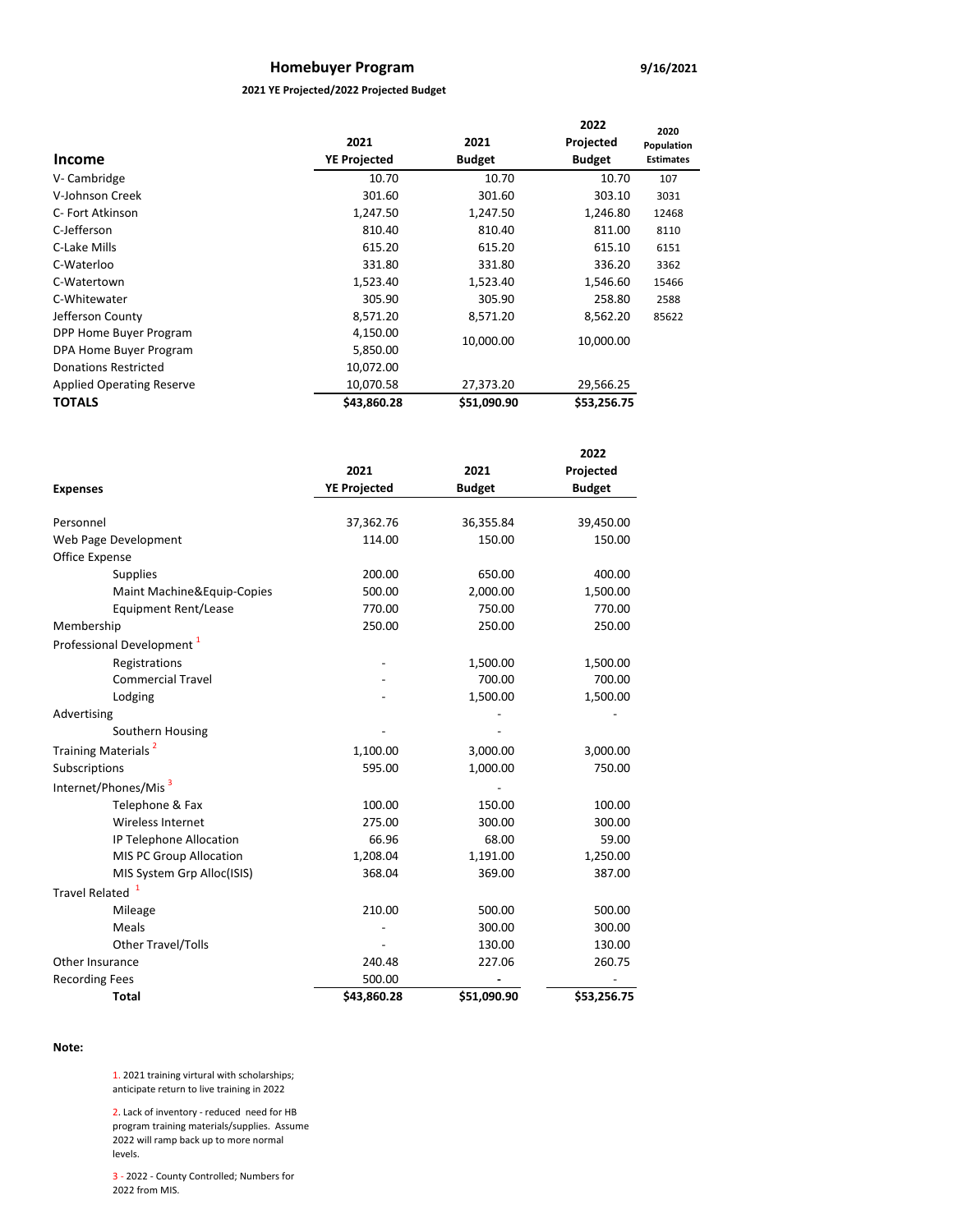# **Homebuyer Program**

### **2021 YE Projected/2022 Projected Budget**

| <b>Income</b>                    | 2021<br><b>YE Projected</b> | 2021<br><b>Budget</b> | 2022<br>Projected<br><b>Budget</b> | 2020<br>Population<br><b>Estimates</b> |
|----------------------------------|-----------------------------|-----------------------|------------------------------------|----------------------------------------|
| V-Cambridge                      | 10.70                       | 10.70                 | 10.70                              | 107                                    |
| V-Johnson Creek                  | 301.60                      | 301.60                | 303.10                             | 3031                                   |
| C- Fort Atkinson                 | 1,247.50                    | 1,247.50              | 1,246.80                           | 12468                                  |
| C-Jefferson                      | 810.40                      | 810.40                | 811.00                             | 8110                                   |
| C-Lake Mills                     | 615.20                      | 615.20                | 615.10                             | 6151                                   |
| C-Waterloo                       | 331.80                      | 331.80                | 336.20                             | 3362                                   |
| C-Watertown                      | 1,523.40                    | 1,523.40              | 1,546.60                           | 15466                                  |
| C-Whitewater                     | 305.90                      | 305.90                | 258.80                             | 2588                                   |
| Jefferson County                 | 8,571.20                    | 8,571.20              | 8,562.20                           | 85622                                  |
| DPP Home Buyer Program           | 4,150.00                    |                       |                                    |                                        |
| DPA Home Buyer Program           | 5,850.00                    | 10,000.00             | 10,000.00                          |                                        |
| <b>Donations Restricted</b>      | 10,072.00                   |                       |                                    |                                        |
| <b>Applied Operating Reserve</b> | 10,070.58                   | 27,373.20             | 29,566.25                          |                                        |
| <b>TOTALS</b>                    | \$43,860.28                 | \$51,090.90           | \$53,256.75                        |                                        |

|                                       |                     |               | 2022          |
|---------------------------------------|---------------------|---------------|---------------|
|                                       | 2021                | 2021          | Projected     |
| <b>Expenses</b>                       | <b>YE Projected</b> | <b>Budget</b> | <b>Budget</b> |
|                                       |                     |               |               |
| Personnel                             | 37,362.76           | 36,355.84     | 39,450.00     |
| Web Page Development                  | 114.00              | 150.00        | 150.00        |
| <b>Office Expense</b>                 |                     |               |               |
| Supplies                              | 200.00              | 650.00        | 400.00        |
| Maint Machine&Equip-Copies            | 500.00              | 2,000.00      | 1,500.00      |
| <b>Equipment Rent/Lease</b>           | 770.00              | 750.00        | 770.00        |
| Membership                            | 250.00              | 250.00        | 250.00        |
| Professional Development <sup>1</sup> |                     |               |               |
| Registrations                         |                     | 1,500.00      | 1,500.00      |
| <b>Commercial Travel</b>              |                     | 700.00        | 700.00        |
| Lodging                               |                     | 1,500.00      | 1,500.00      |
| Advertising                           |                     |               |               |
| Southern Housing                      |                     |               |               |
| Training Materials <sup>2</sup>       | 1,100.00            | 3,000.00      | 3,000.00      |
| Subscriptions                         | 595.00              | 1,000.00      | 750.00        |
| Internet/Phones/Mis <sup>3</sup>      |                     |               |               |
| Telephone & Fax                       | 100.00              | 150.00        | 100.00        |
| Wireless Internet                     | 275.00              | 300.00        | 300.00        |
| IP Telephone Allocation               | 66.96               | 68.00         | 59.00         |
| MIS PC Group Allocation               | 1,208.04            | 1,191.00      | 1,250.00      |
| MIS System Grp Alloc(ISIS)            | 368.04              | 369.00        | 387.00        |
| <b>Travel Related</b>                 |                     |               |               |
| Mileage                               | 210.00              | 500.00        | 500.00        |
| Meals                                 |                     | 300.00        | 300.00        |
| <b>Other Travel/Tolls</b>             |                     | 130.00        | 130.00        |
| Other Insurance                       | 240.48              | 227.06        | 260.75        |
| <b>Recording Fees</b>                 | 500.00              |               |               |
| Total                                 | \$43,860.28         | \$51,090.90   | \$53,256.75   |

### **Note:**

1. 2021 training virtural with scholarships; anticipate return to live training in 2022

2. Lack of inventory - reduced need for HB program training materials/supplies. Assume 2022 will ramp back up to more normal levels.

3 - 2022 - County Controlled; Numbers for 2022 from MIS.